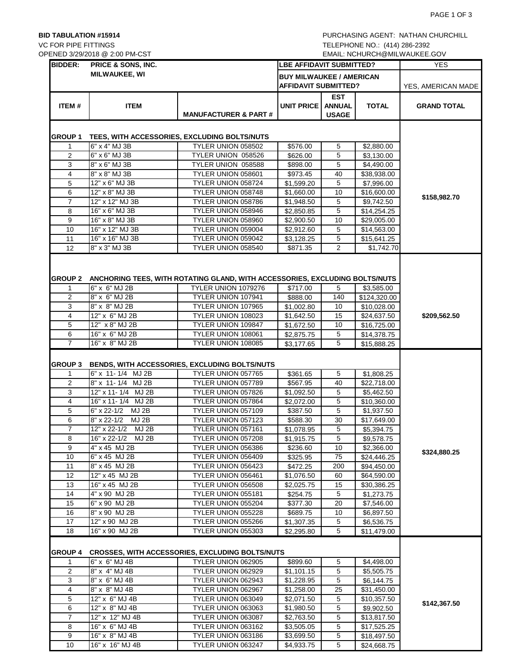VC FOR PIPE FITTINGS TELEPHONE NO.: (414) 286-2392

| <b>BIDDER:</b>           | OPENED 3/29/2018 @ 2:00 PM-CST<br>PRICE & SONS, INC. |                                                                                                                          |                                                                |                                             | EMAIL: NCHURCH@MILWAUKEE.GOV<br><b>YES</b> |                    |
|--------------------------|------------------------------------------------------|--------------------------------------------------------------------------------------------------------------------------|----------------------------------------------------------------|---------------------------------------------|--------------------------------------------|--------------------|
|                          | <b>MILWAUKEE, WI</b>                                 |                                                                                                                          | <b>LBE AFFIDAVIT SUBMITTED?</b>                                |                                             |                                            |                    |
|                          |                                                      |                                                                                                                          | <b>BUY MILWAUKEE / AMERICAN</b><br><b>AFFIDAVIT SUBMITTED?</b> |                                             |                                            | YES, AMERICAN MADE |
| ITEM#                    | <b>ITEM</b>                                          | <b>MANUFACTURER &amp; PART #</b>                                                                                         | <b>UNIT PRICE</b>                                              | <b>EST</b><br><b>ANNUAL</b><br><b>USAGE</b> | <b>TOTAL</b>                               | <b>GRAND TOTAL</b> |
| GROUP 1                  |                                                      | TEES, WITH ACCESSORIES, EXCLUDING BOLTS/NUTS                                                                             |                                                                |                                             |                                            |                    |
| $\mathbf{1}$             | $6" \times 4"$ MJ 3B                                 | TYLER UNION 058502                                                                                                       | \$576.00                                                       | 5                                           | \$2,880.00                                 |                    |
| $\overline{2}$           | 6" x 6" MJ 3B                                        | TYLER UNION 058526                                                                                                       | \$626.00                                                       | 5                                           | \$3,130.00                                 |                    |
| 3                        | 8" x 6" MJ 3B                                        | TYLER UNION 058588                                                                                                       | \$898.00                                                       | 5                                           | \$4,490.00                                 |                    |
| 4                        | 8" x 8" MJ 3B                                        | TYLER UNION 058601                                                                                                       | \$973.45                                                       | 40                                          | \$38,938.00                                |                    |
| 5                        | 12" x 6" MJ 3B                                       | TYLER UNION 058724                                                                                                       | \$1,599.20                                                     | 5                                           | \$7,996.00                                 |                    |
| 6                        | 12" x 8" MJ 3B                                       | TYLER UNION 058748                                                                                                       | \$1,660.00                                                     | 10                                          | \$16,600.00                                |                    |
| $\overline{7}$           | 12" x 12" MJ 3B                                      | TYLER UNION 058786                                                                                                       | \$1,948.50                                                     | 5                                           | \$9,742.50                                 | \$158,982.70       |
| 8                        | 16" x 6" MJ 3B                                       | TYLER UNION 058946                                                                                                       | \$2,850.85                                                     | 5                                           | \$14,254.25                                |                    |
| 9                        | 16" x 8" MJ 3B                                       | TYLER UNION 058960                                                                                                       | \$2,900.50                                                     | 10                                          | \$29,005.00                                |                    |
| 10                       | 16" x 12" MJ 3B                                      | TYLER UNION 059004                                                                                                       | \$2,912.60                                                     | 5                                           | \$14,563.00                                |                    |
| 11                       | 16" x 16" MJ 3B                                      | TYLER UNION 059042                                                                                                       | \$3,128.25                                                     | 5                                           | \$15,641.25                                |                    |
| 12                       | 8" x 3" MJ 3B                                        | TYLER UNION 058540                                                                                                       | \$871.35                                                       | $\overline{2}$                              | \$1,742.70                                 |                    |
| <b>GROUP 2</b><br>1<br>2 | 6" x 6" MJ 2B<br>8" x 6" MJ 2B                       | ANCHORING TEES, WITH ROTATING GLAND, WITH ACCESSORIES, EXCLUDING BOLTS/NUTS<br>TYLER UNION 1079276<br>TYLER UNION 107941 | \$717.00                                                       | 5<br>140                                    | \$3.585.00                                 |                    |
| 3                        |                                                      | TYLER UNION 107965                                                                                                       | \$888.00                                                       |                                             | \$124,320.00                               |                    |
| 4                        | 8" x 8" MJ 2B<br>12" x 6" MJ 2B                      | TYLER UNION 108023                                                                                                       | \$1,002.80                                                     | 10<br>15                                    | \$10,028.00                                |                    |
| 5                        |                                                      |                                                                                                                          | \$1,642.50                                                     |                                             | \$24,637.50                                | \$209,562.50       |
| 6                        | 12" x 8" MJ 2B<br>16" x 6" MJ 2B                     | TYLER UNION 109847<br>TYLER UNION 108061                                                                                 | \$1,672.50<br>\$2,875.75                                       | 10<br>5                                     | \$16,725.00<br>\$14,378.75                 |                    |
| $\overline{7}$           | 16" x 8" MJ 2B                                       | TYLER UNION 108085                                                                                                       | \$3,177.65                                                     | 5                                           | \$15,888.25                                |                    |
| $\mathbf{1}$<br>2        | 6" x 11-1/4 MJ 2B<br>8" x 11-1/4 MJ 2B               | TYLER UNION 057765<br>TYLER UNION 057789                                                                                 | \$361.65<br>\$567.95                                           | 5<br>40                                     | \$1,808.25<br>\$22,718.00                  |                    |
| 3                        | 12" x 11-1/4 MJ 2B                                   | TYLER UNION 057826                                                                                                       | \$1,092.50                                                     | 5                                           | \$5,462.50                                 |                    |
| $\overline{4}$           | 16" x 11-1/4 MJ 2B                                   | TYLER UNION 057864                                                                                                       | \$2,072.00                                                     | 5                                           | \$10,360.00                                |                    |
| 5                        | 6" x 22-1/2 MJ 2B                                    | TYLER UNION 057109                                                                                                       | \$387.50                                                       | 5                                           | \$1,937.50                                 |                    |
| 6                        | 8" x 22-1/2 MJ 2B                                    | TYLER UNION 057123                                                                                                       | \$588.30                                                       | 30                                          | $\overline{$}17,649.00$                    |                    |
| $\overline{7}$           | 12" x 22-1/2 MJ 2B                                   | TYLER UNION 057161                                                                                                       | \$1,078.95                                                     | 5                                           | \$5,394.75                                 |                    |
| 8                        | 16" x 22-1/2 MJ 2B                                   | TYLER UNION 057208                                                                                                       | \$1,915.75                                                     | 5                                           | \$9,578.75                                 |                    |
| 9                        | 4" x 45 MJ 2B                                        | TYLER UNION 056386                                                                                                       | \$236.60                                                       | 10                                          | \$2,366.00                                 |                    |
| 10                       | 6" x 45 MJ 2B                                        | TYLER UNION 056409                                                                                                       | \$325.95                                                       | 75                                          | \$24,446.25                                | \$324,880.25       |
| 11                       | 8" x 45 MJ 2B                                        | TYLER UNION 056423                                                                                                       | \$472.25                                                       | 200                                         | \$94,450.00                                |                    |
| 12                       | 12" x 45 MJ 2B                                       | TYLER UNION 056461                                                                                                       | \$1,076.50                                                     | 60                                          | \$64,590.00                                |                    |
| 13                       | 16" x 45 MJ 2B                                       | TYLER UNION 056508                                                                                                       | \$2,025.75                                                     | 15                                          | \$30,386.25                                |                    |
| 14                       | 4" x 90 MJ 2B                                        | TYLER UNION 055181                                                                                                       | \$254.75                                                       | 5                                           | \$1,273.75                                 |                    |
| 15                       | 6" x 90 MJ 2B                                        | TYLER UNION 055204                                                                                                       | \$377.30                                                       | 20                                          | \$7,546.00                                 |                    |
| 16                       | 8" x 90 MJ 2B                                        | TYLER UNION 055228                                                                                                       | \$689.75                                                       | 10                                          | \$6,897.50                                 |                    |
| 17<br>18                 | 12" x 90 MJ 2B<br>16" x 90 MJ 2B                     | TYLER UNION 055266<br>TYLER UNION 055303                                                                                 | \$1,307.35                                                     | 5<br>5                                      | \$6,536.75                                 |                    |
|                          |                                                      |                                                                                                                          | \$2,295.80                                                     |                                             | \$11,479.00                                |                    |
| GROUP 4                  |                                                      | <b>CROSSES, WITH ACCESSORIES, EXCLUDING BOLTS/NUTS</b>                                                                   |                                                                |                                             |                                            |                    |
| $\mathbf 1$              | 6" x 6" MJ 4B                                        | TYLER UNION 062905                                                                                                       | \$899.60                                                       | 5                                           | \$4,498.00                                 |                    |
| 2                        | 8" x 4" MJ 4B                                        | TYLER UNION 062929                                                                                                       | \$1,101.15                                                     | 5                                           | \$5,505.75                                 |                    |
| 3                        | 8" x 6" MJ 4B                                        | TYLER UNION 062943                                                                                                       | \$1,228.95                                                     | 5                                           | \$6,144.75                                 |                    |
| 4                        | 8" x 8" MJ 4B                                        | TYLER UNION 062967                                                                                                       | \$1,258.00                                                     | 25                                          | \$31,450.00                                |                    |
| 5                        | $12" \times 6"$ MJ 4B                                | TYLER UNION 063049                                                                                                       | \$2,071.50                                                     | 5                                           | \$10,357.50                                |                    |
| 6                        | 12" x 8" MJ 4B                                       | TYLER UNION 063063                                                                                                       | \$1,980.50                                                     | 5                                           | \$9,902.50                                 | \$142,367.50       |
| 7                        | 12" x 12" MJ 4B                                      | TYLER UNION 063087                                                                                                       | \$2,763.50                                                     | 5                                           | \$13,817.50                                |                    |
| 8                        | 16" x 6" MJ 4B                                       | TYLER UNION 063162                                                                                                       | \$3,505.05                                                     | 5                                           | \$17,525.25                                |                    |
| 9                        | 16" x 8" MJ 4B                                       | TYLER UNION 063186                                                                                                       | \$3,699.50                                                     | 5                                           | \$18,497.50                                |                    |
| 10                       | 16" x 16" MJ 4B                                      | TYLER UNION 063247                                                                                                       | \$4,933.75                                                     | $\overline{5}$                              | \$24,668.75                                |                    |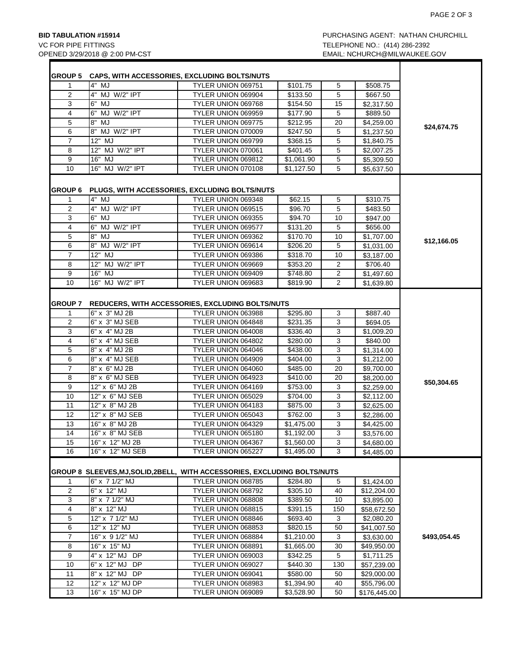Г

| <b>GROUP 5</b> |                                   | CAPS, WITH ACCESSORIES, EXCLUDING BOLTS/NUTS                              |                          |          |              |              |
|----------------|-----------------------------------|---------------------------------------------------------------------------|--------------------------|----------|--------------|--------------|
| 1              | 4" MJ                             | TYLER UNION 069751                                                        | \$101.75                 | 5        | \$508.75     |              |
| 2              | 4" MJ W/2" IPT                    | TYLER UNION 069904                                                        | \$133.50                 | 5        | \$667.50     |              |
| 3              | 6" MJ                             | TYLER UNION 069768                                                        | \$154.50                 | 15       | \$2,317.50   |              |
| 4              | 6" MJ W/2" IPT                    | TYLER UNION 069959                                                        | \$177.90                 | 5        | \$889.50     |              |
| 5              | 8" MJ                             | TYLER UNION 069775                                                        | \$212.95                 | 20       | \$4,259.00   |              |
| 6              | 8" MJ W/2" IPT                    | TYLER UNION 070009                                                        | \$247.50                 | 5        | \$1,237.50   | \$24,674.75  |
| $\overline{7}$ | 12" MJ                            | TYLER UNION 069799                                                        | \$368.15                 | 5        | \$1,840.75   |              |
| 8              | 12" MJ W/2" IPT                   | TYLER UNION 070061                                                        | \$401.45                 | 5        | \$2,007.25   |              |
| 9              | 16" MJ                            | TYLER UNION 069812                                                        | \$1,061.90               | 5        | \$5,309.50   |              |
| 10             | 16" MJ W/2" IPT                   | TYLER UNION 070108                                                        | \$1,127.50               | 5        | \$5,637.50   |              |
|                |                                   |                                                                           |                          |          |              |              |
| <b>GROUP 6</b> |                                   | PLUGS, WITH ACCESSORIES, EXCLUDING BOLTS/NUTS                             |                          |          |              |              |
| 1              | $4"$ MJ                           | TYLER UNION 069348                                                        | \$62.15                  | 5        | \$310.75     |              |
| 2              | 4" MJ W/2" IPT                    | TYLER UNION 069515                                                        | \$96.70                  | 5        | \$483.50     |              |
| 3              | 6" MJ                             | TYLER UNION 069355                                                        | \$94.70                  | 10       | \$947.00     |              |
| 4              | 6" MJ W/2" IPT                    | TYLER UNION 069577                                                        | \$131.20                 | 5        | \$656.00     |              |
| 5              | 8" MJ                             | TYLER UNION 069362                                                        | \$170.70                 | 10       | \$1,707.00   | \$12,166.05  |
| 6              | 8" MJ W/2" IPT                    | TYLER UNION 069614                                                        | \$206.20                 | 5        | \$1,031.00   |              |
| $\overline{7}$ | 12" MJ                            | TYLER UNION 069386                                                        | \$318.70                 | 10       | \$3,187.00   |              |
| 8              | 12" MJ W/2" IPT                   | TYLER UNION 069669                                                        | \$353.20                 | 2        | \$706.40     |              |
| 9              | 16" MJ                            | TYLER UNION 069409                                                        | \$748.80                 | 2        | \$1,497.60   |              |
| 10             | 16" MJ W/2" IPT                   | TYLER UNION 069683                                                        | \$819.90                 | 2        | \$1,639.80   |              |
| <b>GROUP 7</b> |                                   | <b>REDUCERS, WITH ACCESSORIES, EXCLUDING BOLTS/NUTS</b>                   |                          |          |              |              |
| 1              | 6" x 3" MJ 2B                     | TYLER UNION 063988                                                        | \$295.80                 | 3        | \$887.40     |              |
| 2              | 6" x 3" MJ SEB                    | TYLER UNION 064848                                                        | \$231.35                 | 3        | \$694.05     |              |
| 3              | 6" x 4" MJ 2B                     | TYLER UNION 064008                                                        | \$336.40                 | 3        | \$1,009.20   |              |
| 4              | 6" x 4" MJ SEB                    | TYLER UNION 064802                                                        | \$280.00                 | 3        | \$840.00     |              |
| 5              | 8" x 4" MJ 2B                     | TYLER UNION 064046                                                        | \$438.00                 | 3        | \$1,314.00   |              |
| 6              | 8" x 4" MJ SEB                    | TYLER UNION 064909                                                        | \$404.00                 | 3        | \$1,212.00   |              |
| $\overline{7}$ | 8" x 6" MJ 2B                     | TYLER UNION 064060                                                        | \$485.00                 | 20       | \$9,700.00   |              |
| 8              | 8" x 6" MJ SEB                    | TYLER UNION 064923                                                        | \$410.00                 | 20       | \$8,200.00   |              |
| 9              | 12" x 6" MJ 2B                    | TYLER UNION 064169                                                        | \$753.00                 | 3        | \$2,259.00   | \$50,304.65  |
| 10             | 12" x 6" MJ SEB                   | TYLER UNION 065029                                                        | \$704.00                 | 3        | \$2,112.00   |              |
| 11             | 12" x 8" MJ 2B                    | TYLER UNION 064183                                                        | \$875.00                 | 3        | \$2,625.00   |              |
| 12             | 12" x 8" MJ SEB                   | TYLER UNION 065043                                                        | \$762.00                 | 3        | \$2,286.00   |              |
| 13             | 16" x 8" MJ 2B                    | TYLER UNION 064329                                                        | \$1,475.00               | 3        | \$4,425.00   |              |
| 14             | 16" x 8" MJ SEB                   | TYLER UNION 065180                                                        | \$1,192.00               | 3        | \$3,576.00   |              |
| 15             | 16" x 12" MJ 2B                   | TYLER UNION 064367                                                        | \$1.560.00               | 3        | \$4,680.00   |              |
| 16             | 16" x 12" MJ SEB                  | TYLER UNION 065227                                                        | \$1,495.00               | 3        | \$4,485.00   |              |
|                |                                   |                                                                           |                          |          |              |              |
|                |                                   | GROUP 8 SLEEVES, MJ, SOLID, 2BELL, WITH ACCESSORIES, EXCLUDING BOLTS/NUTS |                          |          |              |              |
| 1              | 6" x 7 1/2" MJ                    | TYLER UNION 068785                                                        | \$284.80                 | 5        | \$1,424.00   |              |
| 2              | 6" x 12" MJ                       | TYLER UNION 068792                                                        | \$305.10                 | 40       | \$12,204.00  |              |
| 3              | 8" x 7 1/2" MJ                    | TYLER UNION 068808                                                        | \$389.50                 | 10       | \$3,895.00   |              |
| 4              | 8" x 12" MJ                       | TYLER UNION 068815                                                        | \$391.15                 | 150      | \$58,672.50  |              |
| 5              | 12" x 7 1/2" MJ                   | TYLER UNION 068846                                                        | \$693.40                 | 3        | \$2,080.20   |              |
| 6              | 12" x 12" MJ                      | TYLER UNION 068853                                                        | \$820.15                 | 50       | \$41,007.50  |              |
| 7              | 16" x 9 1/2" MJ                   | TYLER UNION 068884                                                        | \$1,210.00               | 3        | \$3,630.00   | \$493,054.45 |
| 8              | 16" x 15" MJ                      | TYLER UNION 068891                                                        | \$1,665.00               | 30       | \$49,950.00  |              |
| 9              | 4" x 12" MJ DP                    | TYLER UNION 069003                                                        | \$342.25                 | 5        | \$1,711.25   |              |
| 10             | 6" x 12" MJ DP                    | TYLER UNION 069027                                                        | \$440.30                 | 130      | \$57,239.00  |              |
| 11<br>12       | 8" x 12" MJ DP<br>12" x 12" MJ DP | TYLER UNION 069041<br>TYLER UNION 068983                                  | \$580.00                 | 50<br>40 | \$29,000.00  |              |
| 13             | 16" x 15" MJ DP                   | TYLER UNION 069089                                                        | \$1,394.90<br>\$3,528.90 | 50       | \$55,796.00  |              |
|                |                                   |                                                                           |                          |          | \$176,445.00 |              |